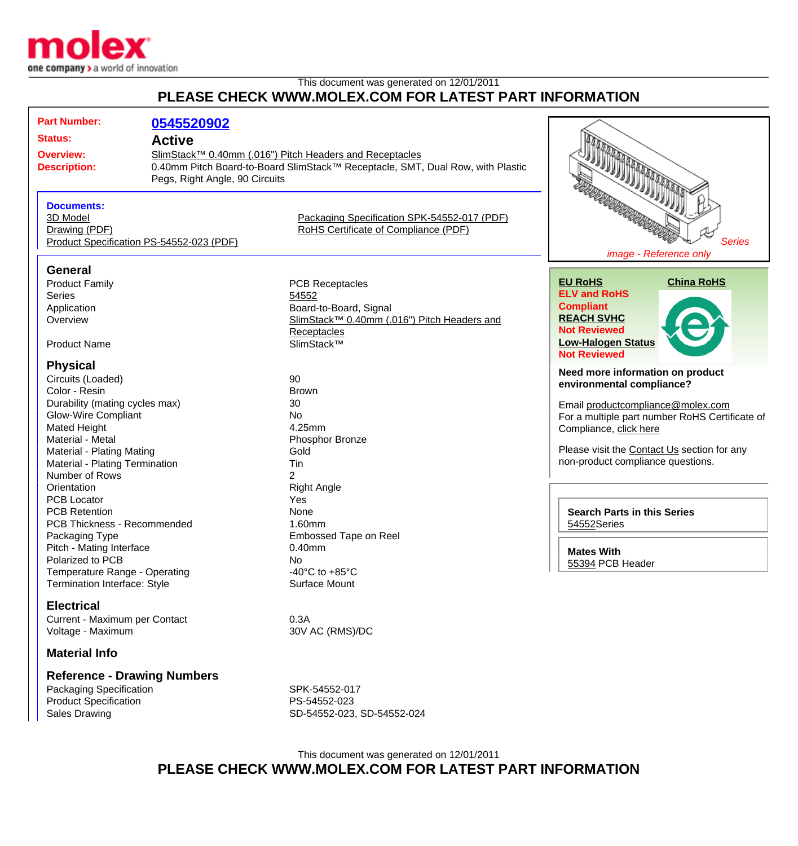

## This document was generated on 12/01/2011 **PLEASE CHECK WWW.MOLEX.COM FOR LATEST PART INFORMATION**

| <b>Part Number:</b>                                       | 0545520902                                                                                                                                |                                                                                     |                                                            |
|-----------------------------------------------------------|-------------------------------------------------------------------------------------------------------------------------------------------|-------------------------------------------------------------------------------------|------------------------------------------------------------|
| <b>Status:</b>                                            | <b>Active</b>                                                                                                                             |                                                                                     |                                                            |
|                                                           |                                                                                                                                           |                                                                                     |                                                            |
| <b>Overview:</b>                                          | SlimStack™ 0.40mm (.016") Pitch Headers and Receptacles<br>0.40mm Pitch Board-to-Board SlimStack™ Receptacle, SMT, Dual Row, with Plastic |                                                                                     |                                                            |
| <b>Description:</b>                                       |                                                                                                                                           |                                                                                     |                                                            |
|                                                           | Pegs, Right Angle, 90 Circuits                                                                                                            |                                                                                     |                                                            |
|                                                           |                                                                                                                                           |                                                                                     | <b>STATE OF THE OWNER</b>                                  |
| <b>Documents:</b>                                         |                                                                                                                                           |                                                                                     |                                                            |
| 3D Model                                                  |                                                                                                                                           | Packaging Specification SPK-54552-017 (PDF)<br>RoHS Certificate of Compliance (PDF) |                                                            |
| Drawing (PDF)<br>Product Specification PS-54552-023 (PDF) |                                                                                                                                           |                                                                                     | <b>Series</b>                                              |
|                                                           |                                                                                                                                           |                                                                                     | image - Reference only                                     |
|                                                           |                                                                                                                                           |                                                                                     |                                                            |
| <b>General</b>                                            |                                                                                                                                           |                                                                                     |                                                            |
| <b>Product Family</b>                                     |                                                                                                                                           | <b>PCB Receptacles</b>                                                              | <b>EU RoHS</b><br><b>China RoHS</b><br><b>ELV and RoHS</b> |
| <b>Series</b>                                             |                                                                                                                                           | 54552                                                                               |                                                            |
| Application                                               |                                                                                                                                           | Board-to-Board, Signal                                                              | <b>Compliant</b><br><b>REACH SVHC</b>                      |
| Overview                                                  |                                                                                                                                           | SlimStack™ 0.40mm (.016") Pitch Headers and                                         | <b>Not Reviewed</b>                                        |
|                                                           |                                                                                                                                           | Receptacles                                                                         | <b>Low-Halogen Status</b>                                  |
| <b>Product Name</b>                                       |                                                                                                                                           | SlimStack™                                                                          | <b>Not Reviewed</b>                                        |
| <b>Physical</b>                                           |                                                                                                                                           |                                                                                     |                                                            |
| Circuits (Loaded)                                         |                                                                                                                                           | 90                                                                                  | Need more information on product                           |
| Color - Resin                                             |                                                                                                                                           | <b>Brown</b>                                                                        | environmental compliance?                                  |
| Durability (mating cycles max)                            |                                                                                                                                           | 30                                                                                  | Email productcompliance@molex.com                          |
| <b>Glow-Wire Compliant</b>                                |                                                                                                                                           | <b>No</b>                                                                           | For a multiple part number RoHS Certificate of             |
| <b>Mated Height</b>                                       |                                                                                                                                           | 4.25mm                                                                              | Compliance, click here                                     |
| Material - Metal                                          |                                                                                                                                           | Phosphor Bronze                                                                     |                                                            |
| Material - Plating Mating                                 |                                                                                                                                           | Gold                                                                                | Please visit the Contact Us section for any                |
| Material - Plating Termination                            |                                                                                                                                           | Tin                                                                                 | non-product compliance questions.                          |
| Number of Rows                                            |                                                                                                                                           | $\overline{2}$                                                                      |                                                            |
| Orientation                                               |                                                                                                                                           | <b>Right Angle</b>                                                                  |                                                            |
| <b>PCB Locator</b>                                        |                                                                                                                                           | Yes                                                                                 |                                                            |
| <b>PCB Retention</b>                                      |                                                                                                                                           | None                                                                                | <b>Search Parts in this Series</b>                         |
| <b>PCB Thickness - Recommended</b>                        |                                                                                                                                           | 1.60mm                                                                              | 54552Series                                                |
| Packaging Type                                            |                                                                                                                                           | Embossed Tape on Reel                                                               |                                                            |
| Pitch - Mating Interface                                  |                                                                                                                                           | $0.40$ mm                                                                           | <b>Mates With</b>                                          |
| Polarized to PCB                                          |                                                                                                                                           | No                                                                                  | 55394 PCB Header                                           |
| Temperature Range - Operating                             |                                                                                                                                           | -40 $^{\circ}$ C to +85 $^{\circ}$ C                                                |                                                            |
| Termination Interface: Style                              |                                                                                                                                           | Surface Mount                                                                       |                                                            |
| <b>Electrical</b>                                         |                                                                                                                                           |                                                                                     |                                                            |
|                                                           |                                                                                                                                           | 0.3A                                                                                |                                                            |
| Current - Maximum per Contact                             |                                                                                                                                           |                                                                                     |                                                            |
| Voltage - Maximum                                         |                                                                                                                                           | 30V AC (RMS)/DC                                                                     |                                                            |
| <b>Material Info</b>                                      |                                                                                                                                           |                                                                                     |                                                            |
| <b>Reference - Drawing Numbers</b>                        |                                                                                                                                           |                                                                                     |                                                            |
| Packaging Specification                                   |                                                                                                                                           | SPK-54552-017                                                                       |                                                            |
| <b>Product Specification</b>                              |                                                                                                                                           | PS-54552-023                                                                        |                                                            |
| <b>Sales Drawing</b>                                      |                                                                                                                                           | SD-54552-023, SD-54552-024                                                          |                                                            |